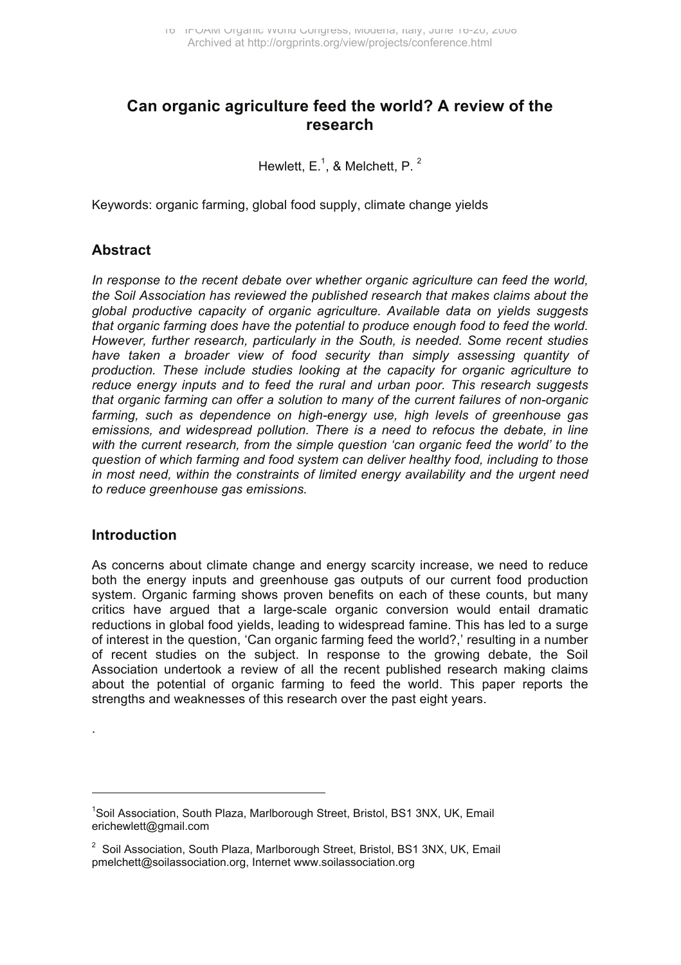# **Can organic agriculture feed the world? A review of the research**

Hewlett, E.<sup>1</sup>, & Melchett, P.<sup>2</sup>

Keywords: organic farming, global food supply, climate change yields

#### **Abstract**

*In response to the recent debate over whether organic agriculture can feed the world, the Soil Association has reviewed the published research that makes claims about the global productive capacity of organic agriculture. Available data on yields suggests that organic farming does have the potential to produce enough food to feed the world. However, further research, particularly in the South, is needed. Some recent studies*  have taken a broader view of food security than simply assessing quantity of *production. These include studies looking at the capacity for organic agriculture to reduce energy inputs and to feed the rural and urban poor. This research suggests that organic farming can offer a solution to many of the current failures of non-organic farming, such as dependence on high-energy use, high levels of greenhouse gas emissions, and widespread pollution. There is a need to refocus the debate, in line with the current research, from the simple question 'can organic feed the world' to the question of which farming and food system can deliver healthy food, including to those in most need, within the constraints of limited energy availability and the urgent need to reduce greenhouse gas emissions.* 

#### **Introduction**

.

 $\overline{a}$ 

As concerns about climate change and energy scarcity increase, we need to reduce both the energy inputs and greenhouse gas outputs of our current food production system. Organic farming shows proven benefits on each of these counts, but many critics have argued that a large-scale organic conversion would entail dramatic reductions in global food yields, leading to widespread famine. This has led to a surge of interest in the question, 'Can organic farming feed the world?,' resulting in a number of recent studies on the subject. In response to the growing debate, the Soil Association undertook a review of all the recent published research making claims about the potential of organic farming to feed the world. This paper reports the strengths and weaknesses of this research over the past eight years.

<sup>&</sup>lt;sup>1</sup>Soil Association, South Plaza, Marlborough Street, Bristol, BS1 3NX, UK, Email erichewlett@gmail.com

<sup>&</sup>lt;sup>2</sup> Soil Association, South Plaza, Marlborough Street, Bristol, BS1 3NX, UK, Email pmelchett@soilassociation.org, Internet www.soilassociation.org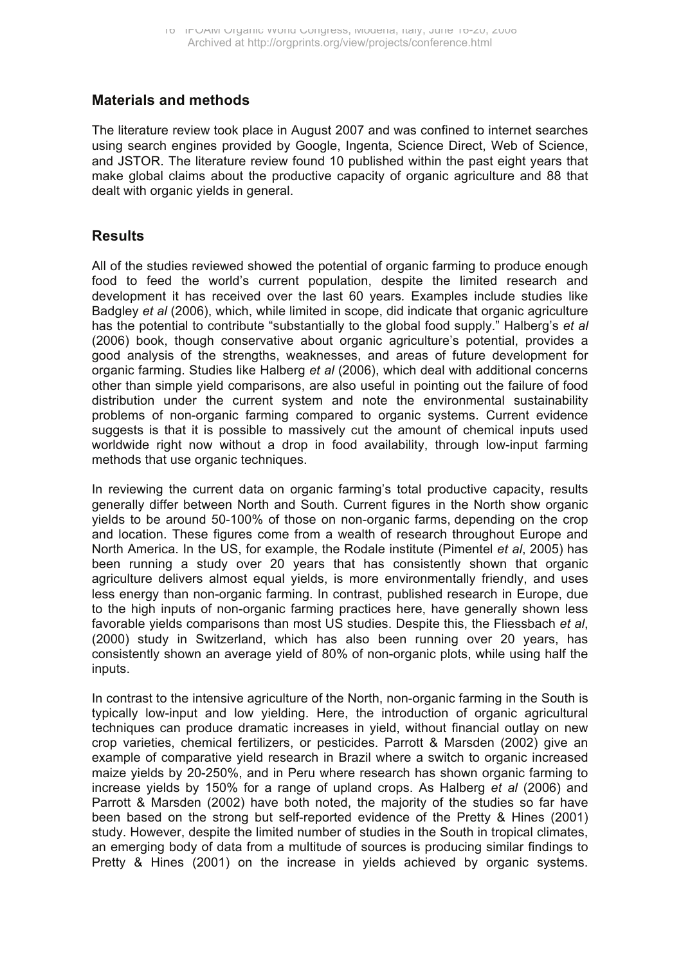# **Materials and methods**

The literature review took place in August 2007 and was confined to internet searches using search engines provided by Google, Ingenta, Science Direct, Web of Science, and JSTOR. The literature review found 10 published within the past eight years that make global claims about the productive capacity of organic agriculture and 88 that dealt with organic vields in general.

# **Results**

All of the studies reviewed showed the potential of organic farming to produce enough food to feed the world's current population, despite the limited research and development it has received over the last 60 years*.* Examples include studies like Badgley *et al* (2006), which, while limited in scope, did indicate that organic agriculture has the potential to contribute "substantially to the global food supply." Halberg's *et al*  $(2006)$  book, though conservative about organic agriculture's potential, provides a good analysis of the strengths, weaknesses, and areas of future development for organic farming. Studies like Halberg *et al* (2006), which deal with additional concerns other than simple yield comparisons, are also useful in pointing out the failure of food distribution under the current system and note the environmental sustainability problems of non-organic farming compared to organic systems. Current evidence suggests is that it is possible to massively cut the amount of chemical inputs used worldwide right now without a drop in food availability, through low-input farming methods that use organic techniques.

In reviewing the current data on organic farming's total productive capacity, results generally differ between North and South. Current figures in the North show organic yields to be around 50-100% of those on non-organic farms, depending on the crop and location. These figures come from a wealth of research throughout Europe and North America. In the US, for example, the Rodale institute (Pimentel *et al*, 2005) has been running a study over 20 years that has consistently shown that organic agriculture delivers almost equal yields, is more environmentally friendly, and uses less energy than non-organic farming. In contrast, published research in Europe, due to the high inputs of non-organic farming practices here, have generally shown less favorable yields comparisons than most US studies. Despite this, the Fliessbach *et al*, (2000) study in Switzerland, which has also been running over 20 years, has consistently shown an average yield of 80% of non-organic plots, while using half the inputs.

In contrast to the intensive agriculture of the North, non-organic farming in the South is typically low-input and low yielding. Here, the introduction of organic agricultural techniques can produce dramatic increases in yield, without financial outlay on new crop varieties, chemical fertilizers, or pesticides. Parrott & Marsden (2002) give an example of comparative yield research in Brazil where a switch to organic increased maize yields by 20-250%, and in Peru where research has shown organic farming to increase yields by 150% for a range of upland crops. As Halberg *et al* (2006) and Parrott & Marsden (2002) have both noted, the majority of the studies so far have been based on the strong but self-reported evidence of the Pretty & Hines (2001) study. However, despite the limited number of studies in the South in tropical climates, an emerging body of data from a multitude of sources is producing similar findings to Pretty & Hines (2001) on the increase in yields achieved by organic systems.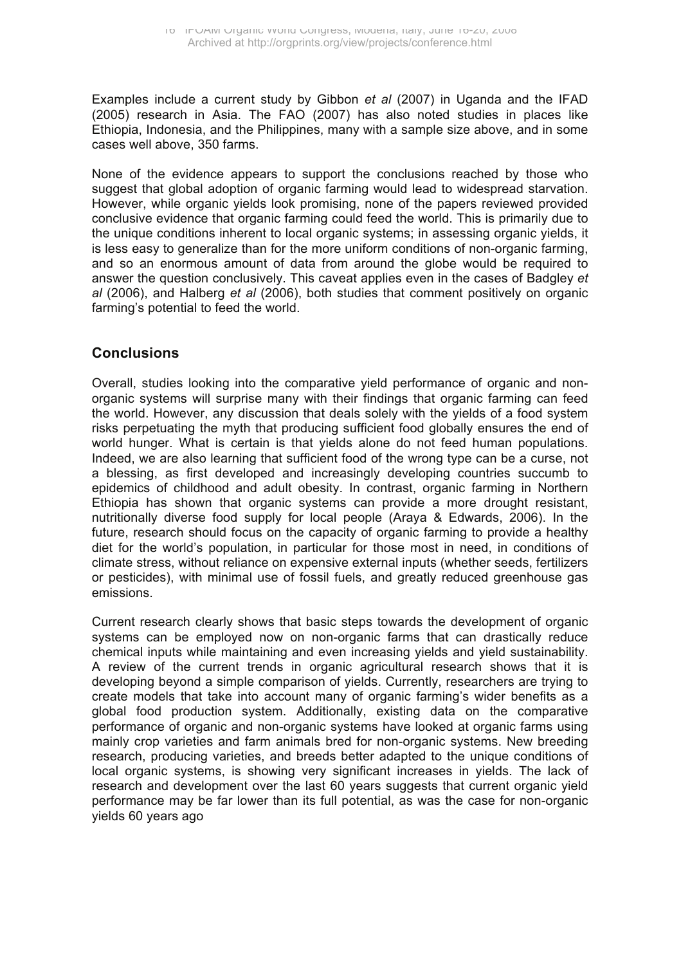Examples include a current study by Gibbon *et al* (2007) in Uganda and the IFAD (2005) research in Asia. The FAO (2007) has also noted studies in places like Ethiopia, Indonesia, and the Philippines, many with a sample size above, and in some cases well above, 350 farms.

None of the evidence appears to support the conclusions reached by those who suggest that global adoption of organic farming would lead to widespread starvation. However, while organic yields look promising, none of the papers reviewed provided conclusive evidence that organic farming could feed the world. This is primarily due to the unique conditions inherent to local organic systems; in assessing organic yields, it is less easy to generalize than for the more uniform conditions of non-organic farming, and so an enormous amount of data from around the globe would be required to answer the question conclusively. This caveat applies even in the cases of Badgley *et al* (2006), and Halberg *et al* (2006), both studies that comment positively on organic farming's potential to feed the world.

## **Conclusions**

Overall, studies looking into the comparative yield performance of organic and nonorganic systems will surprise many with their findings that organic farming can feed the world. However, any discussion that deals solely with the yields of a food system risks perpetuating the myth that producing sufficient food globally ensures the end of world hunger. What is certain is that yields alone do not feed human populations. Indeed, we are also learning that sufficient food of the wrong type can be a curse, not a blessing, as first developed and increasingly developing countries succumb to epidemics of childhood and adult obesity. In contrast, organic farming in Northern Ethiopia has shown that organic systems can provide a more drought resistant, nutritionally diverse food supply for local people (Araya & Edwards, 2006). In the future, research should focus on the capacity of organic farming to provide a healthy diet for the world's population, in particular for those most in need, in conditions of climate stress, without reliance on expensive external inputs (whether seeds, fertilizers or pesticides), with minimal use of fossil fuels, and greatly reduced greenhouse gas emissions.

Current research clearly shows that basic steps towards the development of organic systems can be employed now on non-organic farms that can drastically reduce chemical inputs while maintaining and even increasing yields and yield sustainability. A review of the current trends in organic agricultural research shows that it is developing beyond a simple comparison of yields. Currently, researchers are trying to create models that take into account many of organic farming's wider benefits as a global food production system. Additionally, existing data on the comparative performance of organic and non-organic systems have looked at organic farms using mainly crop varieties and farm animals bred for non-organic systems. New breeding research, producing varieties, and breeds better adapted to the unique conditions of local organic systems, is showing very significant increases in yields. The lack of research and development over the last 60 years suggests that current organic yield performance may be far lower than its full potential, as was the case for non-organic yields 60 years ago